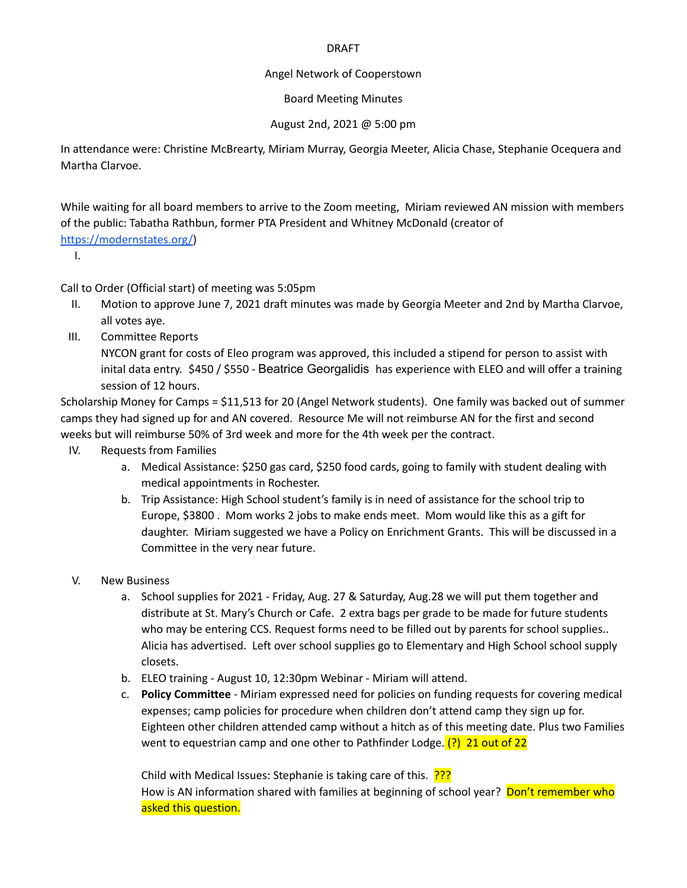## DRAFT

## Angel Network of Cooperstown

Board Meeting Minutes

## August 2nd, 2021 @ 5:00 pm

In attendance were: Christine McBrearty, Miriam Murray, Georgia Meeter, Alicia Chase, Stephanie Ocequera and Martha Clarvoe.

While waiting for all board members to arrive to the Zoom meeting, Miriam reviewed AN mission with members of the public: Tabatha Rathbun, former PTA President and Whitney McDonald (creator of

<https://modernstates.org/>)

I.

Call to Order (Official start) of meeting was 5:05pm

- II. Motion to approve June 7, 2021 draft minutes was made by Georgia Meeter and 2nd by Martha Clarvoe, all votes aye.
- III. Committee Reports

NYCON grant for costs of Eleo program was approved, this included a stipend for person to assist with inital data entry. \$450 / \$550 - Beatrice Georgalidis has experience with ELEO and will offer a training session of 12 hours.

Scholarship Money for Camps = \$11,513 for 20 (Angel Network students). One family was backed out of summer camps they had signed up for and AN covered. Resource Me will not reimburse AN for the first and second weeks but will reimburse 50% of 3rd week and more for the 4th week per the contract.

- IV. Requests from Families
	- a. Medical Assistance: \$250 gas card, \$250 food cards, going to family with student dealing with medical appointments in Rochester.
	- b. Trip Assistance: High School student's family is in need of assistance for the school trip to Europe, \$3800 . Mom works 2 jobs to make ends meet. Mom would like this as a gift for daughter. Miriam suggested we have a Policy on Enrichment Grants. This will be discussed in a Committee in the very near future.
- V. New Business
	- a. School supplies for 2021 Friday, Aug. 27 & Saturday, Aug.28 we will put them together and distribute at St. Mary's Church or Cafe. 2 extra bags per grade to be made for future students who may be entering CCS. Request forms need to be filled out by parents for school supplies.. Alicia has advertised. Left over school supplies go to Elementary and High School school supply closets.
	- b. ELEO training August 10, 12:30pm Webinar Miriam will attend.
	- c. **Policy Committee** Miriam expressed need for policies on funding requests for covering medical expenses; camp policies for procedure when children don't attend camp they sign up for. Eighteen other children attended camp without a hitch as of this meeting date. Plus two Families went to equestrian camp and one other to Pathfinder Lodge.  $(?)$  21 out of 22

Child with Medical Issues: Stephanie is taking care of this. ??? How is AN information shared with families at beginning of school year? Don't remember who asked this question.